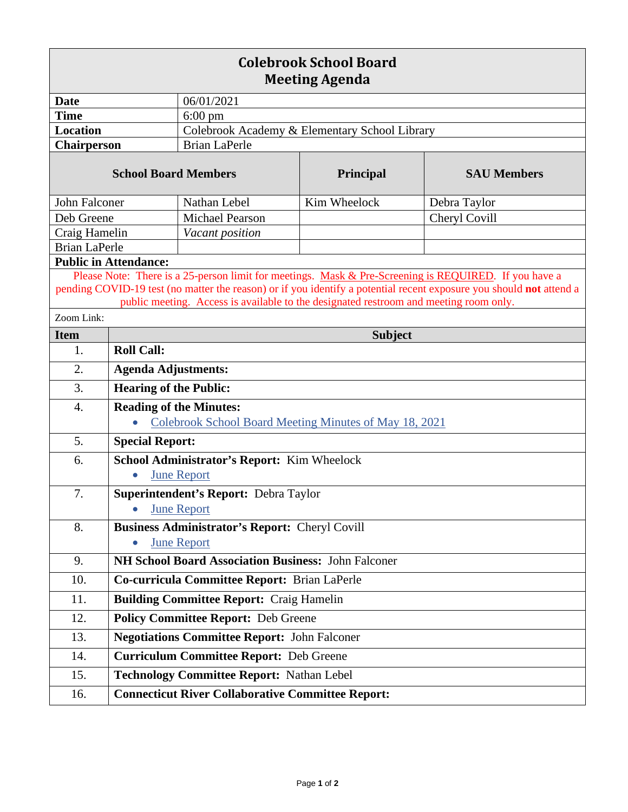| <b>Colebrook School Board</b><br><b>Meeting Agenda</b>                                                                                                                                                                                                                                                                |                                                                                          |                                                                             |              |                    |  |
|-----------------------------------------------------------------------------------------------------------------------------------------------------------------------------------------------------------------------------------------------------------------------------------------------------------------------|------------------------------------------------------------------------------------------|-----------------------------------------------------------------------------|--------------|--------------------|--|
| <b>Date</b>                                                                                                                                                                                                                                                                                                           |                                                                                          | 06/01/2021                                                                  |              |                    |  |
| <b>Time</b>                                                                                                                                                                                                                                                                                                           |                                                                                          | $6:00 \text{ pm}$                                                           |              |                    |  |
| <b>Location</b>                                                                                                                                                                                                                                                                                                       |                                                                                          | Colebrook Academy & Elementary School Library                               |              |                    |  |
| Chairperson                                                                                                                                                                                                                                                                                                           |                                                                                          | <b>Brian LaPerle</b>                                                        |              |                    |  |
| <b>School Board Members</b>                                                                                                                                                                                                                                                                                           |                                                                                          |                                                                             | Principal    | <b>SAU Members</b> |  |
| John Falconer                                                                                                                                                                                                                                                                                                         |                                                                                          | Nathan Lebel                                                                | Kim Wheelock | Debra Taylor       |  |
| Deb Greene                                                                                                                                                                                                                                                                                                            |                                                                                          | <b>Michael Pearson</b>                                                      |              | Cheryl Covill      |  |
| Craig Hamelin                                                                                                                                                                                                                                                                                                         |                                                                                          | Vacant position                                                             |              |                    |  |
| <b>Brian LaPerle</b>                                                                                                                                                                                                                                                                                                  |                                                                                          |                                                                             |              |                    |  |
|                                                                                                                                                                                                                                                                                                                       | <b>Public in Attendance:</b>                                                             |                                                                             |              |                    |  |
| Please Note: There is a 25-person limit for meetings. Mask & Pre-Screening is REQUIRED. If you have a<br>pending COVID-19 test (no matter the reason) or if you identify a potential recent exposure you should not attend a<br>public meeting. Access is available to the designated restroom and meeting room only. |                                                                                          |                                                                             |              |                    |  |
| Zoom Link:                                                                                                                                                                                                                                                                                                            |                                                                                          |                                                                             |              |                    |  |
| <b>Item</b>                                                                                                                                                                                                                                                                                                           | <b>Subject</b>                                                                           |                                                                             |              |                    |  |
| 1.                                                                                                                                                                                                                                                                                                                    | <b>Roll Call:</b>                                                                        |                                                                             |              |                    |  |
| 2.                                                                                                                                                                                                                                                                                                                    | <b>Agenda Adjustments:</b>                                                               |                                                                             |              |                    |  |
| 3.                                                                                                                                                                                                                                                                                                                    | <b>Hearing of the Public:</b>                                                            |                                                                             |              |                    |  |
| $\overline{4}$ .                                                                                                                                                                                                                                                                                                      | <b>Reading of the Minutes:</b><br>Colebrook School Board Meeting Minutes of May 18, 2021 |                                                                             |              |                    |  |
| 5.                                                                                                                                                                                                                                                                                                                    | <b>Special Report:</b>                                                                   |                                                                             |              |                    |  |
| 6.                                                                                                                                                                                                                                                                                                                    | School Administrator's Report: Kim Wheelock<br><b>June Report</b><br>$\bullet$           |                                                                             |              |                    |  |
| 7.                                                                                                                                                                                                                                                                                                                    | <b>Superintendent's Report: Debra Taylor</b><br><b>June Report</b>                       |                                                                             |              |                    |  |
| 8.                                                                                                                                                                                                                                                                                                                    |                                                                                          | <b>Business Administrator's Report: Cheryl Covill</b><br><b>June Report</b> |              |                    |  |
| 9.                                                                                                                                                                                                                                                                                                                    | NH School Board Association Business: John Falconer                                      |                                                                             |              |                    |  |
| 10.                                                                                                                                                                                                                                                                                                                   | Co-curricula Committee Report: Brian LaPerle                                             |                                                                             |              |                    |  |
| 11.                                                                                                                                                                                                                                                                                                                   |                                                                                          | <b>Building Committee Report: Craig Hamelin</b>                             |              |                    |  |
| 12.                                                                                                                                                                                                                                                                                                                   | <b>Policy Committee Report: Deb Greene</b>                                               |                                                                             |              |                    |  |
| 13.                                                                                                                                                                                                                                                                                                                   | <b>Negotiations Committee Report: John Falconer</b>                                      |                                                                             |              |                    |  |
| 14.                                                                                                                                                                                                                                                                                                                   | <b>Curriculum Committee Report: Deb Greene</b>                                           |                                                                             |              |                    |  |
| 15.                                                                                                                                                                                                                                                                                                                   | <b>Technology Committee Report: Nathan Lebel</b>                                         |                                                                             |              |                    |  |
| 16.                                                                                                                                                                                                                                                                                                                   |                                                                                          | <b>Connecticut River Collaborative Committee Report:</b>                    |              |                    |  |